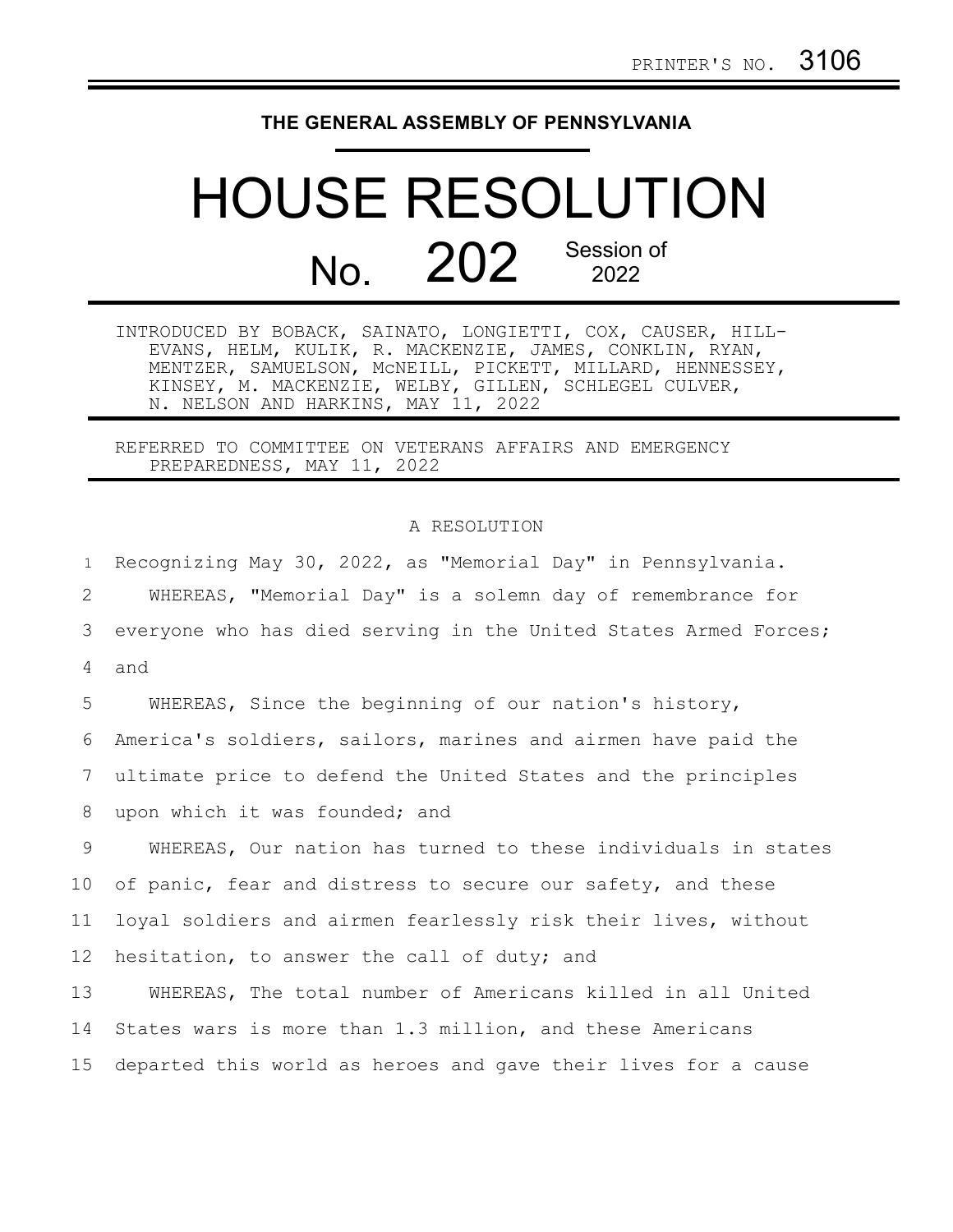## **THE GENERAL ASSEMBLY OF PENNSYLVANIA**

## HOUSE RESOLUTION No. 202<sup>Session of</sup>

INTRODUCED BY BOBACK, SAINATO, LONGIETTI, COX, CAUSER, HILL-EVANS, HELM, KULIK, R. MACKENZIE, JAMES, CONKLIN, RYAN, MENTZER, SAMUELSON, McNEILL, PICKETT, MILLARD, HENNESSEY, KINSEY, M. MACKENZIE, WELBY, GILLEN, SCHLEGEL CULVER, N. NELSON AND HARKINS, MAY 11, 2022

REFERRED TO COMMITTEE ON VETERANS AFFAIRS AND EMERGENCY PREPAREDNESS, MAY 11, 2022

## A RESOLUTION

Recognizing May 30, 2022, as "Memorial Day" in Pennsylvania. WHEREAS, ["Memorial Day" is a solemn day](https://time.com/110697/memorial-day-facts/) of remembrance for everyone who has died serving in the United States Armed Forces; and WHEREAS, Since the beginning of our nation's history, America's soldiers, sailors, marines and airmen have paid the ultimate price to defend the United States and the principles upon which it was founded; and WHEREAS, Our nation has turned to these individuals in states of panic, fear and distress to secure our safety, and these loyal soldiers and airmen fearlessly risk their lives, without hesitation, to answer the call of duty; and WHEREAS, The total number of Americans killed in all United States wars is more than 1.3 million, and these Americans 1 2 3 4 5 6 7 8 9 10 11 12 13 14

departed this world as heroes and gave their lives for a cause 15